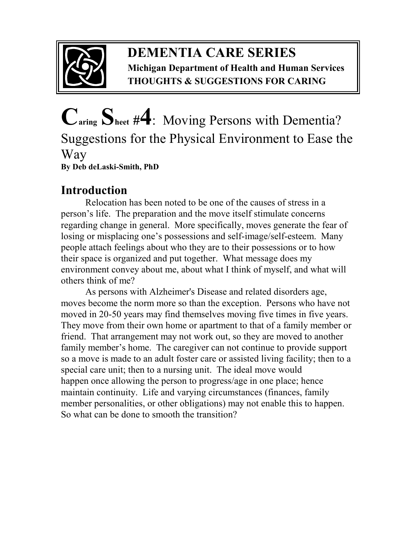

## **DEMENTIA CARE SERIES Michigan Department of Health and Human Services THOUGHTS & SUGGESTIONS FOR CARING**

# **Caring Sheet #4**:Moving Persons with Dementia? Suggestions for the Physical Environment to Ease the Way **By Deb deLaski-Smith, PhD**

# **Introduction**

Relocation has been noted to be one of the causes of stress in a person's life. The preparation and the move itself stimulate concerns regarding change in general. More specifically, moves generate the fear of losing or misplacing one's possessions and self-image/self-esteem. Many people attach feelings about who they are to their possessions or to how their space is organized and put together. What message does my environment convey about me, about what I think of myself, and what will others think of me?

 As persons with Alzheimer's Disease and related disorders age, moves become the norm more so than the exception. Persons who have not moved in 20-50 years may find themselves moving five times in five years. They move from their own home or apartment to that of a family member or friend. That arrangement may not work out, so they are moved to another family member's home. The caregiver can not continue to provide support so a move is made to an adult foster care or assisted living facility; then to a special care unit; then to a nursing unit. The ideal move would happen once allowing the person to progress/age in one place; hence maintain continuity. Life and varying circumstances (finances, family member personalities, or other obligations) may not enable this to happen. So what can be done to smooth the transition?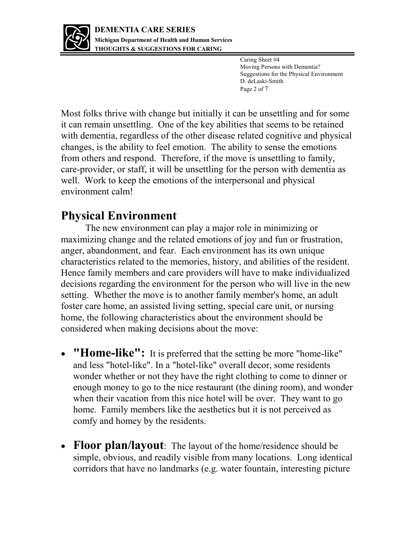

 Caring Sheet #4 Moving Persons with Dementia? Suggestions for the Physical Environment D. deLaski-Smith Page 2 of 7

Most folks thrive with change but initially it can be unsettling and for some it can remain unsettling. One of the key abilities that seems to be retained with dementia, regardless of the other disease related cognitive and physical changes, is the ability to feel emotion. The ability to sense the emotions from others and respond. Therefore, if the move is unsettling to family, care-provider, or staff, it will be unsettling for the person with dementia as well. Work to keep the emotions of the interpersonal and physical environment calm!

## **Physical Environment**

The new environment can play a major role in minimizing or maximizing change and the related emotions of joy and fun or frustration, anger, abandonment, and fear. Each environment has its own unique characteristics related to the memories, history, and abilities of the resident. Hence family members and care providers will have to make individualized decisions regarding the environment for the person who will live in the new setting. Whether the move is to another family member's home, an adult foster care home, an assisted living setting, special care unit, or nursing home, the following characteristics about the environment should be considered when making decisions about the move:

- **"Home-like":** It is preferred that the setting be more "home-like" and less "hotel-like". In a "hotel-like" overall decor, some residents wonder whether or not they have the right clothing to come to dinner or enough money to go to the nice restaurant (the dining room), and wonder when their vacation from this nice hotel will be over. They want to go home. Family members like the aesthetics but it is not perceived as comfy and homey by the residents.
- Floor plan/layout: The layout of the home/residence should be simple, obvious, and readily visible from many locations. Long identical corridors that have no landmarks (e.g. water fountain, interesting picture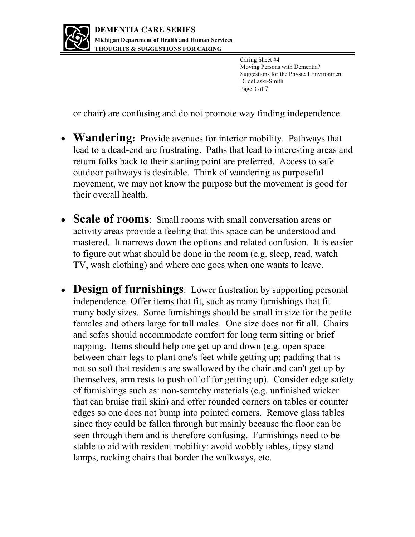

 Caring Sheet #4 Moving Persons with Dementia? Suggestions for the Physical Environment D. deLaski-Smith Page 3 of 7

or chair) are confusing and do not promote way finding independence.

- **Wandering:** Provide avenues for interior mobility. Pathways that lead to a dead-end are frustrating. Paths that lead to interesting areas and return folks back to their starting point are preferred. Access to safe outdoor pathways is desirable. Think of wandering as purposeful movement, we may not know the purpose but the movement is good for their overall health.
- **Scale of rooms**: Small rooms with small conversation areas or activity areas provide a feeling that this space can be understood and mastered. It narrows down the options and related confusion. It is easier to figure out what should be done in the room (e.g. sleep, read, watch TV, wash clothing) and where one goes when one wants to leave.
- **Design of furnishings**: Lower frustration by supporting personal independence. Offer items that fit, such as many furnishings that fit many body sizes. Some furnishings should be small in size for the petite females and others large for tall males. One size does not fit all. Chairs and sofas should accommodate comfort for long term sitting or brief napping. Items should help one get up and down (e.g. open space between chair legs to plant one's feet while getting up; padding that is not so soft that residents are swallowed by the chair and can't get up by themselves, arm rests to push off of for getting up). Consider edge safety of furnishings such as: non-scratchy materials (e.g. unfinished wicker that can bruise frail skin) and offer rounded corners on tables or counter edges so one does not bump into pointed corners. Remove glass tables since they could be fallen through but mainly because the floor can be seen through them and is therefore confusing. Furnishings need to be stable to aid with resident mobility: avoid wobbly tables, tipsy stand lamps, rocking chairs that border the walkways, etc.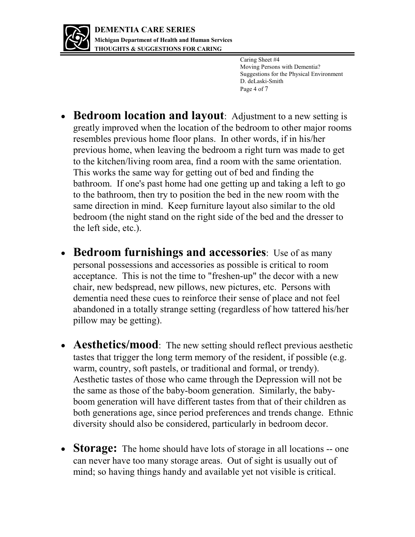

 Caring Sheet #4 Moving Persons with Dementia? Suggestions for the Physical Environment D. deLaski-Smith Page 4 of 7

- **Bedroom location and layout**: Adjustment to a new setting is greatly improved when the location of the bedroom to other major rooms resembles previous home floor plans. In other words, if in his/her previous home, when leaving the bedroom a right turn was made to get to the kitchen/living room area, find a room with the same orientation. This works the same way for getting out of bed and finding the bathroom. If one's past home had one getting up and taking a left to go to the bathroom, then try to position the bed in the new room with the same direction in mind. Keep furniture layout also similar to the old bedroom (the night stand on the right side of the bed and the dresser to the left side, etc.).
- **Bedroom furnishings and accessories**: Use of as many personal possessions and accessories as possible is critical to room acceptance. This is not the time to "freshen-up" the decor with a new chair, new bedspread, new pillows, new pictures, etc. Persons with dementia need these cues to reinforce their sense of place and not feel abandoned in a totally strange setting (regardless of how tattered his/her pillow may be getting).
- **Aesthetics/mood**: The new setting should reflect previous aesthetic tastes that trigger the long term memory of the resident, if possible (e.g. warm, country, soft pastels, or traditional and formal, or trendy). Aesthetic tastes of those who came through the Depression will not be the same as those of the baby-boom generation. Similarly, the babyboom generation will have different tastes from that of their children as both generations age, since period preferences and trends change. Ethnic diversity should also be considered, particularly in bedroom decor.
- **Storage:** The home should have lots of storage in all locations -- one can never have too many storage areas. Out of sight is usually out of mind; so having things handy and available yet not visible is critical.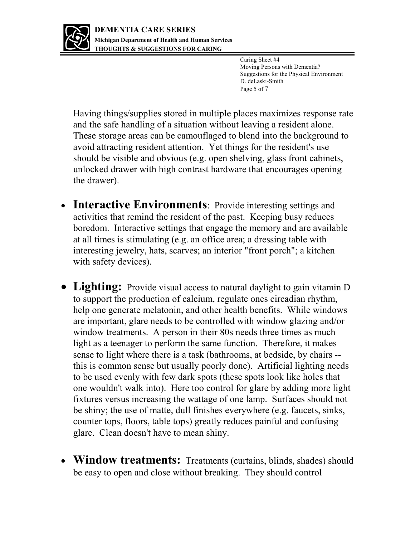

 Caring Sheet #4 Moving Persons with Dementia? Suggestions for the Physical Environment D. deLaski-Smith Page 5 of 7

Having things/supplies stored in multiple places maximizes response rate and the safe handling of a situation without leaving a resident alone. These storage areas can be camouflaged to blend into the background to avoid attracting resident attention. Yet things for the resident's use should be visible and obvious (e.g. open shelving, glass front cabinets, unlocked drawer with high contrast hardware that encourages opening the drawer).

- **Interactive Environments**: Provide interesting settings and activities that remind the resident of the past. Keeping busy reduces boredom. Interactive settings that engage the memory and are available at all times is stimulating (e.g. an office area; a dressing table with interesting jewelry, hats, scarves; an interior "front porch"; a kitchen with safety devices).
- **Lighting:** Provide visual access to natural daylight to gain vitamin D to support the production of calcium, regulate ones circadian rhythm, help one generate melatonin, and other health benefits. While windows are important, glare needs to be controlled with window glazing and/or window treatments. A person in their 80s needs three times as much light as a teenager to perform the same function. Therefore, it makes sense to light where there is a task (bathrooms, at bedside, by chairs - this is common sense but usually poorly done). Artificial lighting needs to be used evenly with few dark spots (these spots look like holes that one wouldn't walk into). Here too control for glare by adding more light fixtures versus increasing the wattage of one lamp. Surfaces should not be shiny; the use of matte, dull finishes everywhere (e.g. faucets, sinks, counter tops, floors, table tops) greatly reduces painful and confusing glare. Clean doesn't have to mean shiny.
- **Window treatments:** Treatments (curtains, blinds, shades) should be easy to open and close without breaking. They should control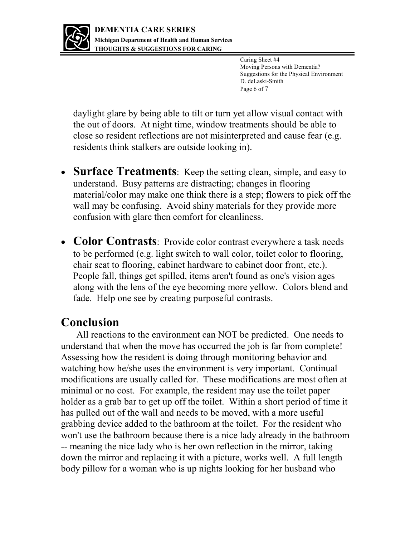

 Caring Sheet #4 Moving Persons with Dementia? Suggestions for the Physical Environment D. deLaski-Smith Page 6 of 7

daylight glare by being able to tilt or turn yet allow visual contact with the out of doors. At night time, window treatments should be able to close so resident reflections are not misinterpreted and cause fear (e.g. residents think stalkers are outside looking in).

- **Surface Treatments**: Keep the setting clean, simple, and easy to understand. Busy patterns are distracting; changes in flooring material/color may make one think there is a step; flowers to pick off the wall may be confusing. Avoid shiny materials for they provide more confusion with glare then comfort for cleanliness.
- Color Contrasts: Provide color contrast everywhere a task needs to be performed (e.g. light switch to wall color, toilet color to flooring, chair seat to flooring, cabinet hardware to cabinet door front, etc.). People fall, things get spilled, items aren't found as one's vision ages along with the lens of the eye becoming more yellow. Colors blend and fade. Help one see by creating purposeful contrasts.

#### **Conclusion**

All reactions to the environment can NOT be predicted. One needs to understand that when the move has occurred the job is far from complete! Assessing how the resident is doing through monitoring behavior and watching how he/she uses the environment is very important. Continual modifications are usually called for. These modifications are most often at minimal or no cost. For example, the resident may use the toilet paper holder as a grab bar to get up off the toilet. Within a short period of time it has pulled out of the wall and needs to be moved, with a more useful grabbing device added to the bathroom at the toilet. For the resident who won't use the bathroom because there is a nice lady already in the bathroom -- meaning the nice lady who is her own reflection in the mirror, taking down the mirror and replacing it with a picture, works well. A full length body pillow for a woman who is up nights looking for her husband who